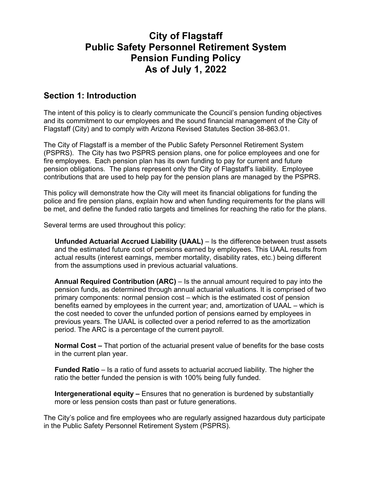## **City of Flagstaff Public Safety Personnel Retirement System Pension Funding Policy As of July 1, 2022**

## **Section 1: Introduction**

The intent of this policy is to clearly communicate the Council's pension funding objectives and its commitment to our employees and the sound financial management of the City of Flagstaff (City) and to comply with Arizona Revised Statutes Section 38-863.01.

The City of Flagstaff is a member of the Public Safety Personnel Retirement System (PSPRS). The City has two PSPRS pension plans, one for police employees and one for fire employees. Each pension plan has its own funding to pay for current and future pension obligations. The plans represent only the City of Flagstaff's liability. Employee contributions that are used to help pay for the pension plans are managed by the PSPRS.

This policy will demonstrate how the City will meet its financial obligations for funding the police and fire pension plans, explain how and when funding requirements for the plans will be met, and define the funded ratio targets and timelines for reaching the ratio for the plans.

Several terms are used throughout this policy:

**Unfunded Actuarial Accrued Liability (UAAL)** – Is the difference between trust assets and the estimated future cost of pensions earned by employees. This UAAL results from actual results (interest earnings, member mortality, disability rates, etc.) being different from the assumptions used in previous actuarial valuations.

**Annual Required Contribution (ARC)** – Is the annual amount required to pay into the pension funds, as determined through annual actuarial valuations. It is comprised of two primary components: normal pension cost – which is the estimated cost of pension benefits earned by employees in the current year; and, amortization of UAAL – which is the cost needed to cover the unfunded portion of pensions earned by employees in previous years. The UAAL is collected over a period referred to as the amortization period. The ARC is a percentage of the current payroll.

**Normal Cost –** That portion of the actuarial present value of benefits for the base costs in the current plan year.

**Funded Ratio** – Is a ratio of fund assets to actuarial accrued liability. The higher the ratio the better funded the pension is with 100% being fully funded.

**Intergenerational equity –** Ensures that no generation is burdened by substantially more or less pension costs than past or future generations.

The City's police and fire employees who are regularly assigned hazardous duty participate in the Public Safety Personnel Retirement System (PSPRS).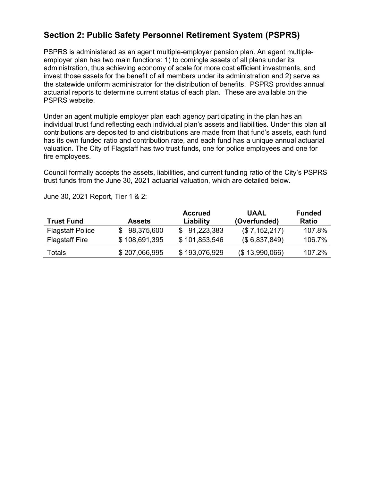## **Section 2: Public Safety Personnel Retirement System (PSPRS)**

PSPRS is administered as an agent multiple-employer pension plan. An agent multipleemployer plan has two main functions: 1) to comingle assets of all plans under its administration, thus achieving economy of scale for more cost efficient investments, and invest those assets for the benefit of all members under its administration and 2) serve as the statewide uniform administrator for the distribution of benefits. PSPRS provides annual actuarial reports to determine current status of each plan. These are available on the PSPRS website.

Under an agent multiple employer plan each agency participating in the plan has an individual trust fund reflecting each individual plan's assets and liabilities. Under this plan all contributions are deposited to and distributions are made from that fund's assets, each fund has its own funded ratio and contribution rate, and each fund has a unique annual actuarial valuation. The City of Flagstaff has two trust funds, one for police employees and one for fire employees.

Council formally accepts the assets, liabilities, and current funding ratio of the City's PSPRS trust funds from the June 30, 2021 actuarial valuation, which are detailed below.

| <b>Trust Fund</b>       | <b>Assets</b> | <b>Accrued</b><br>Liability | UAAL<br>(Overfunded) | <b>Funded</b><br><b>Ratio</b> |
|-------------------------|---------------|-----------------------------|----------------------|-------------------------------|
| <b>Flagstaff Police</b> | 98,375,600    | \$91,223,383                | (\$7,152,217)        | 107.8%                        |
| <b>Flagstaff Fire</b>   | \$108,691,395 | \$101,853,546               | (\$6,837,849)        | 106.7%                        |
| Totals                  | \$207,066,995 | \$193,076,929               | (\$13,990,066)       | 107.2%                        |

June 30, 2021 Report, Tier 1 & 2: